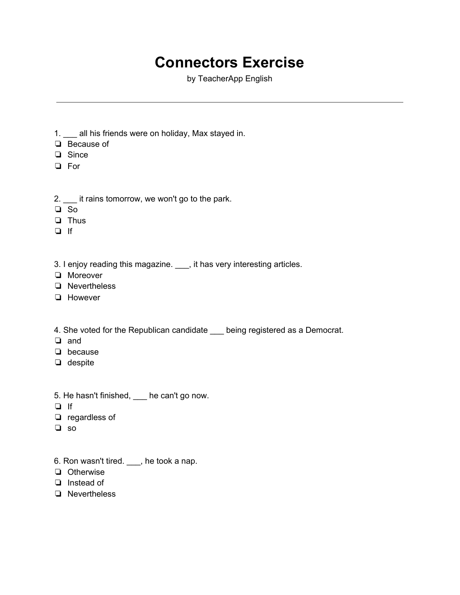## **Connectors Exercise**

by TeacherApp English

- 1. \_\_\_ all his friends were on holiday, Max stayed in.
- ❏ Because of
- ❏ Since
- ❏ For
- 2. \_\_\_ it rains tomorrow, we won't go to the park.
- ❏ So
- ❏ Thus
- ❏ If
- 3. I enjoy reading this magazine. \_\_\_, it has very interesting articles.
- ❏ Moreover
- ❏ Nevertheless
- ❏ However
- 4. She voted for the Republican candidate \_\_\_ being registered as a Democrat.
- ❏ and
- ❏ because
- ❏ despite
- 5. He hasn't finished, \_\_\_ he can't go now.
- ❏ If
- ❏ regardless of
- ❏ so
- 6. Ron wasn't tired. \_\_\_, he took a nap.
- ❏ Otherwise
- ❏ Instead of
- ❏ Nevertheless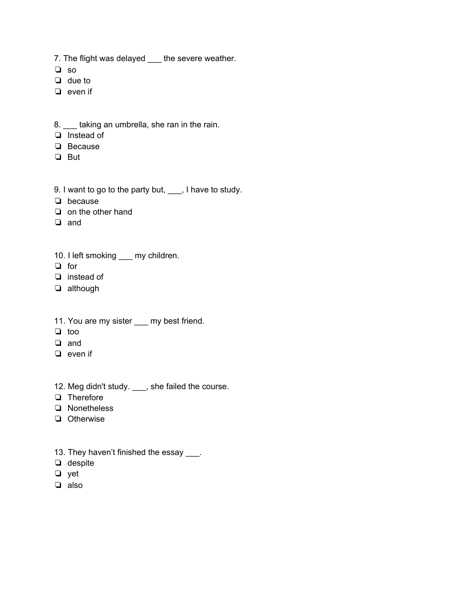7. The flight was delayed \_\_\_ the severe weather.

- ❏ so
- ❏ due to
- ❏ even if
- 8. \_\_\_ taking an umbrella, she ran in the rain.
- ❏ Instead of
- ❏ Because
- ❏ But
- 9. I want to go to the party but, \_\_\_, I have to study.
- ❏ because
- ❏ on the other hand
- ❏ and
- 10. I left smoking \_\_\_ my children.
- ❏ for
- ❏ instead of
- ❏ although
- 11. You are my sister \_\_\_ my best friend.
- ❏ too
- ❏ and
- ❏ even if
- 12. Meg didn't study. \_\_\_, she failed the course.
- ❏ Therefore
- ❏ Nonetheless
- ❏ Otherwise
- 13. They haven't finished the essay \_\_\_.
- ❏ despite
- ❏ yet
- ❏ also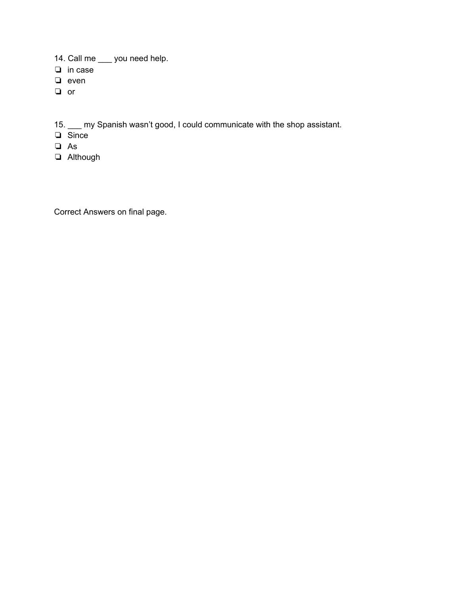- 14. Call me \_\_\_ you need help.
- ❏ in case
- ❏ even
- ❏ or

15. \_\_\_ my Spanish wasn't good, I could communicate with the shop assistant.

- ❏ Since
- ❏ As
- ❏ Although

Correct Answers on final page.